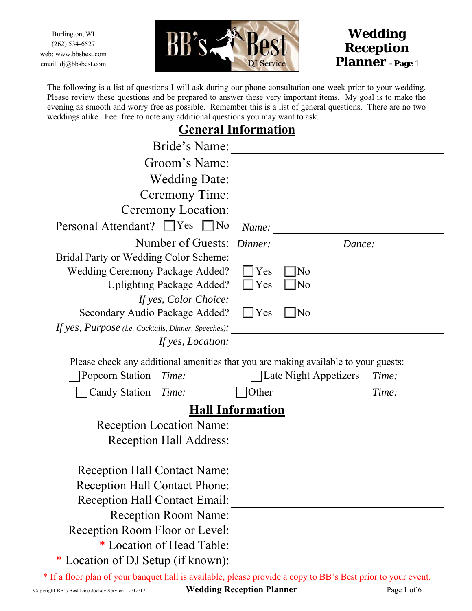Burlington, WI (262) 534-6527 web: www.bbsbest.com email: dj@bbsbest.com





The following is a list of questions I will ask during our phone consultation one week prior to your wedding. Please review these questions and be prepared to answer these very important items. My goal is to make the evening as smooth and worry free as possible. Remember this is a list of general questions. There are no two weddings alike. Feel free to note any additional questions you may want to ask.

## **General Information**

| Bride's Name:                                                                       |                         |                       |                                                                                                                       |  |
|-------------------------------------------------------------------------------------|-------------------------|-----------------------|-----------------------------------------------------------------------------------------------------------------------|--|
| Groom's Name:                                                                       |                         |                       |                                                                                                                       |  |
| <b>Wedding Date:</b>                                                                |                         |                       |                                                                                                                       |  |
| Ceremony Time:                                                                      |                         |                       |                                                                                                                       |  |
| Ceremony Location:                                                                  |                         |                       |                                                                                                                       |  |
| Personal Attendant? □ Yes<br>$\exists$ No                                           | Name:                   |                       |                                                                                                                       |  |
| Number of Guests:                                                                   | Dinner:                 |                       | Dance:                                                                                                                |  |
| Bridal Party or Wedding Color Scheme:                                               |                         |                       |                                                                                                                       |  |
| Wedding Ceremony Package Added?                                                     | <sup>1</sup> Yes        | N <sub>o</sub>        |                                                                                                                       |  |
| <b>Uplighting Package Added?</b>                                                    | ∣Yes                    | N <sub>o</sub>        |                                                                                                                       |  |
| If yes, Color Choice:                                                               |                         |                       |                                                                                                                       |  |
| Secondary Audio Package Added?                                                      | $\Box$ Yes              | N <sub>o</sub>        |                                                                                                                       |  |
| If yes, Purpose (i.e. Cocktails, Dinner, Speeches):                                 |                         |                       | <u> 1989 - Johann Stein, fransk kampens og det forskellige og det forskellige og det forskellige og det forskell</u>  |  |
| If yes, Location:                                                                   |                         |                       | <u> 1989 - Johann Harry Barn, mars and de Branch and de Branch and de Branch and de Branch and de Branch and de B</u> |  |
| Please check any additional amenities that you are making available to your guests: |                         |                       |                                                                                                                       |  |
| Popcorn Station<br>Time:                                                            |                         | Late Night Appetizers | Time:                                                                                                                 |  |
| <b>Candy Station</b><br>Time:                                                       | <b>Other</b>            |                       | Time:                                                                                                                 |  |
|                                                                                     | <b>Hall Information</b> |                       |                                                                                                                       |  |
| <b>Reception Location Name:</b>                                                     |                         |                       |                                                                                                                       |  |
| <b>Reception Hall Address:</b>                                                      |                         |                       |                                                                                                                       |  |
|                                                                                     |                         |                       |                                                                                                                       |  |
| <b>Reception Hall Contact Name:</b>                                                 |                         |                       |                                                                                                                       |  |
| <b>Reception Hall Contact Phone:</b>                                                |                         |                       |                                                                                                                       |  |
| <b>Reception Hall Contact Email:</b>                                                |                         |                       |                                                                                                                       |  |
| <b>Reception Room Name:</b>                                                         |                         |                       |                                                                                                                       |  |
| Reception Room Floor or Level:                                                      |                         |                       |                                                                                                                       |  |
| * Location of Head Table:                                                           |                         |                       |                                                                                                                       |  |
|                                                                                     |                         |                       |                                                                                                                       |  |
| * Location of DJ Setup (if known):                                                  |                         |                       |                                                                                                                       |  |

Copyright BB's Best Disc Jockey Service – 2/12/17 **Wedding Reception Planner** Page 1 of 6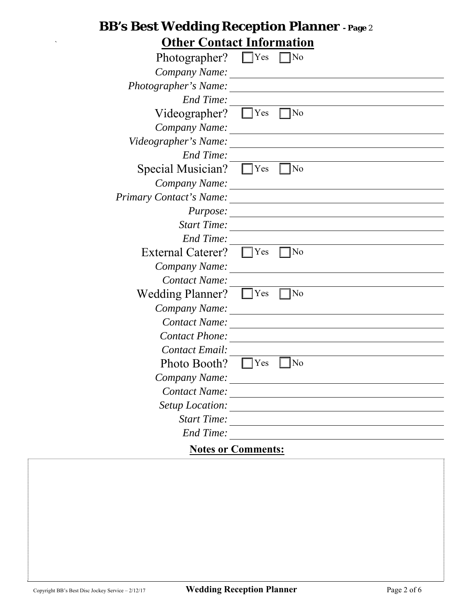## **BB's Best Wedding Reception Planner - Page** <sup>2</sup> ` **Other Contact Information**

| UTHEL CONTACT INIOFINATION |     |    |  |  |  |  |
|----------------------------|-----|----|--|--|--|--|
| Photographer?              | Yes | No |  |  |  |  |
| Company Name:              |     |    |  |  |  |  |
| Photographer's Name:       |     |    |  |  |  |  |
| End Time:                  |     |    |  |  |  |  |
| Videographer?              | Yes | No |  |  |  |  |
| Company Name:              |     |    |  |  |  |  |
| Videographer's Name:       |     |    |  |  |  |  |
| <b>End Time:</b>           |     |    |  |  |  |  |
| Special Musician?          | Yes | No |  |  |  |  |
| Company Name:              |     |    |  |  |  |  |
| Primary Contact's Name:    |     |    |  |  |  |  |
| <i>Purpose:</i>            |     |    |  |  |  |  |
| <b>Start Time:</b>         |     |    |  |  |  |  |
| <b>End Time:</b>           |     |    |  |  |  |  |
| <b>External Caterer?</b>   | Yes | No |  |  |  |  |
| Company Name:              |     |    |  |  |  |  |
| Contact Name:              |     |    |  |  |  |  |
| <b>Wedding Planner?</b>    | Yes | No |  |  |  |  |
| Company Name:              |     |    |  |  |  |  |
| <b>Contact Name:</b>       |     |    |  |  |  |  |
| <b>Contact Phone:</b>      |     |    |  |  |  |  |
| <b>Contact Email:</b>      |     |    |  |  |  |  |
| Photo Booth?               | Yes | No |  |  |  |  |
| Company Name:              |     |    |  |  |  |  |
| Contact Name:              |     |    |  |  |  |  |
| Setup Location:            |     |    |  |  |  |  |
| <b>Start Time:</b>         |     |    |  |  |  |  |
| <b>End Time:</b>           |     |    |  |  |  |  |
| <b>Notes or Comments:</b>  |     |    |  |  |  |  |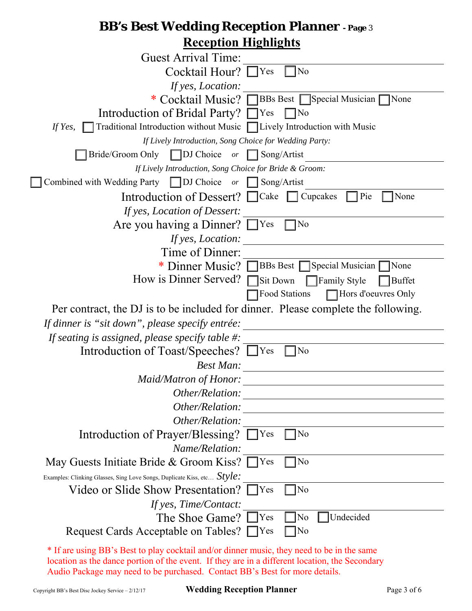## **BB's Best Wedding Reception Planner - Page** <sup>3</sup> **Reception Highlights**

| ілеершін тігдінідне                                                                     |
|-----------------------------------------------------------------------------------------|
| <b>Guest Arrival Time:</b>                                                              |
| Cocktail Hour? $\Box$ Yes<br>No                                                         |
| If yes, Location:                                                                       |
| * Cocktail Music? BBs Best Special Musician<br><b>None</b>                              |
| Introduction of Bridal Party? □ Yes<br>]No                                              |
| Traditional Introduction without Music $\Box$ Lively Introduction with Music<br>If Yes, |
| If Lively Introduction, Song Choice for Wedding Party:                                  |
| Bride/Groom Only   DJ Choice $or$   Song/Artist                                         |
| If Lively Introduction, Song Choice for Bride & Groom:                                  |
| Combined with Wedding Party $\Box$ DJ Choice or $\Box$ Song/Artist                      |
| Introduction of Dessert? Cake Cupcakes<br>Pie<br>None                                   |
| If yes, Location of Dessert:                                                            |
| Are you having a Dinner? $\Box$ Yes<br>7No                                              |
| If yes, Location:                                                                       |
| Time of Dinner:                                                                         |
| * Dinner Music? BBs Best Special Musician<br>None                                       |
| How is Dinner Served?<br>Sit Down<br>$\Box$ Family Style<br><b>Buffet</b>               |
| Food Stations<br>Hors d'oeuvres Only                                                    |
| Per contract, the DJ is to be included for dinner. Please complete the following.       |
| If dinner is "sit down", please specify entrée:                                         |
| If seating is assigned, please specify table $\#$ :                                     |
| Introduction of Toast/Speeches? [<br>$\blacksquare$ Yes<br>TNo                          |
| <b>Best Man:</b>                                                                        |
| Maid/Matron of Honor:                                                                   |
| Other/Relation:                                                                         |
| Other/Relation:                                                                         |
| Other/Relation:                                                                         |
| Introduction of Prayer/Blessing?<br>]No<br> Yes                                         |
| Name/Relation:                                                                          |
| May Guests Initiate Bride & Groom Kiss? [<br>$\exists$ Yes<br>No                        |
| Examples: Clinking Glasses, Sing Love Songs, Duplicate Kiss, etc $Style:$               |
| Video or Slide Show Presentation?<br>Yes<br>No                                          |
| If yes, Time/Contact:                                                                   |
| The Shoe Game?  <br>[Yes<br>Undecided<br>No                                             |
| Request Cards Acceptable on Tables? [<br>$\Box$ Yes<br> No                              |
| $\alpha$ RP's Rest to play cocktail and/or dinner music, they need to be in the         |

If are using BB's Best to play cocktail and/or dinner music, they need to be in the same location as the dance portion of the event. If they are in a different location, the Secondary Audio Package may need to be purchased. Contact BB's Best for more details.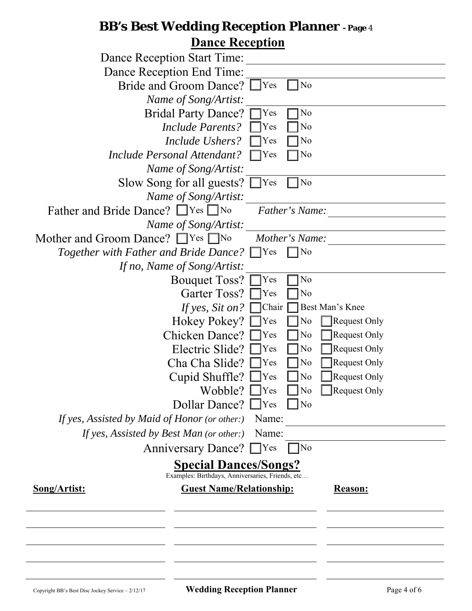## **BB's Best Wedding Reception Planner - Page** <sup>4</sup>  **Dance Reception**

| <u>Dance Iweepwon</u><br><b>Dance Reception Start Time:</b>                      |  |  |  |  |
|----------------------------------------------------------------------------------|--|--|--|--|
| Dance Reception End Time:                                                        |  |  |  |  |
| Bride and Groom Dance?<br>No<br>$\Box$ Yes                                       |  |  |  |  |
| Name of Song/Artist:                                                             |  |  |  |  |
| <b>Bridal Party Dance?</b><br>No<br>Yes                                          |  |  |  |  |
| <b>Include Parents?</b><br>Yes<br>No                                             |  |  |  |  |
| No<br>Include Ushers?<br>Yes                                                     |  |  |  |  |
| No<br>Include Personal Attendant?<br>Yes                                         |  |  |  |  |
| Name of Song/Artist:                                                             |  |  |  |  |
| Slow Song for all guests?<br>$\Box$ Yes<br>$\overline{\rm No}$                   |  |  |  |  |
| Name of Song/Artist:                                                             |  |  |  |  |
| Father and Bride Dance? □ Yes □ No<br>Father's Name:                             |  |  |  |  |
| Name of Song/Artist:                                                             |  |  |  |  |
| Mother and Groom Dance? TYes No<br>Mother's Name:                                |  |  |  |  |
| <i>Together with Father and Bride Dance?</i> □ Yes<br> No                        |  |  |  |  |
| If no, Name of Song/Artist:                                                      |  |  |  |  |
| <b>Bouquet Toss?</b><br>No<br>Yes                                                |  |  |  |  |
| Garter Toss?<br>No<br>Yes                                                        |  |  |  |  |
| Best Man's Knee<br>If yes, Sit on?<br>Chair                                      |  |  |  |  |
| Hokey Pokey?<br>Request Only<br>No<br>Yes                                        |  |  |  |  |
| <b>Chicken Dance?</b><br> Yes<br>No<br><b>Request Only</b>                       |  |  |  |  |
| Electric Slide?<br>No<br><b>Request Only</b><br> Yes                             |  |  |  |  |
| Cha Cha Slide?<br>No<br>Request Only<br> Yes                                     |  |  |  |  |
| Cupid Shuffle?<br>No<br><b>Request Only</b><br>Yes                               |  |  |  |  |
| Wobble?<br>$\Box$ Yes<br>No<br>$\Box$ Request Only                               |  |  |  |  |
| Dollar Dance? $\Box$ Yes<br>$ N_0$                                               |  |  |  |  |
| If yes, Assisted by Maid of Honor (or other:)<br>Name:                           |  |  |  |  |
| If yes, Assisted by Best Man (or other:)<br>Name:                                |  |  |  |  |
| Anniversary Dance? TYes<br> No                                                   |  |  |  |  |
| <b>Special Dances/Songs?</b><br>Examples: Birthdays, Anniversaries, Friends, etc |  |  |  |  |
| <b>Guest Name/Relationship:</b><br><b>Song/Artist:</b><br>Reason:                |  |  |  |  |
|                                                                                  |  |  |  |  |
|                                                                                  |  |  |  |  |
|                                                                                  |  |  |  |  |
|                                                                                  |  |  |  |  |
|                                                                                  |  |  |  |  |
|                                                                                  |  |  |  |  |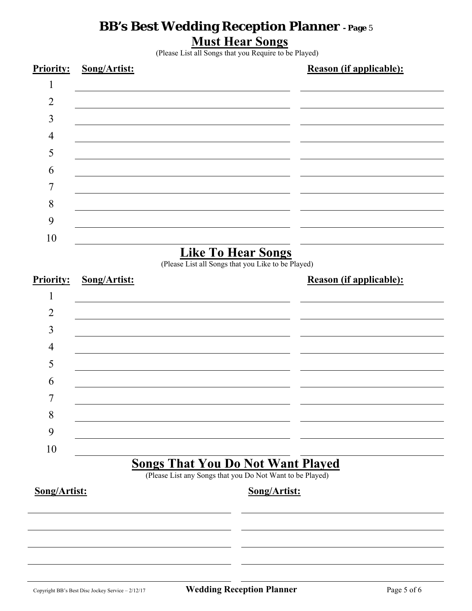### **BB's Best Wedding Reception Planner - Page** <sup>5</sup> **Must Hear Songs**

(Please List all Songs that you Require to be Played)



(Please List all Songs that you Like to be Played)